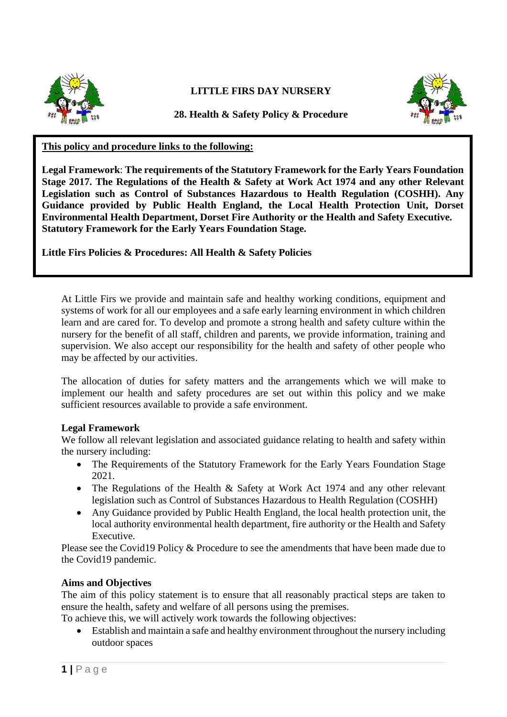

# **LITTLE FIRS DAY NURSERY**



**28. Health & Safety Policy & Procedure**

## **This policy and procedure links to the following:**

**Legal Framework**: **The requirements of the Statutory Framework for the Early Years Foundation Stage 2017. The Regulations of the Health & Safety at Work Act 1974 and any other Relevant Legislation such as Control of Substances Hazardous to Health Regulation (COSHH). Any Guidance provided by Public Health England, the Local Health Protection Unit, Dorset Environmental Health Department, Dorset Fire Authority or the Health and Safety Executive. Statutory Framework for the Early Years Foundation Stage.**

**Little Firs Policies & Procedures: All Health & Safety Policies**

At Little Firs we provide and maintain safe and healthy working conditions, equipment and systems of work for all our employees and a safe early learning environment in which children learn and are cared for. To develop and promote a strong health and safety culture within the nursery for the benefit of all staff, children and parents, we provide information, training and supervision. We also accept our responsibility for the health and safety of other people who may be affected by our activities.

The allocation of duties for safety matters and the arrangements which we will make to implement our health and safety procedures are set out within this policy and we make sufficient resources available to provide a safe environment.

#### **Legal Framework**

We follow all relevant legislation and associated guidance relating to health and safety within the nursery including:

- The Requirements of the Statutory Framework for the Early Years Foundation Stage 2021.
- The Regulations of the Health & Safety at Work Act 1974 and any other relevant legislation such as Control of Substances Hazardous to Health Regulation (COSHH)
- Any Guidance provided by Public Health England, the local health protection unit, the local authority environmental health department, fire authority or the Health and Safety Executive.

Please see the Covid19 Policy & Procedure to see the amendments that have been made due to the Covid19 pandemic.

#### **Aims and Objectives**

The aim of this policy statement is to ensure that all reasonably practical steps are taken to ensure the health, safety and welfare of all persons using the premises.

To achieve this, we will actively work towards the following objectives:

• Establish and maintain a safe and healthy environment throughout the nursery including outdoor spaces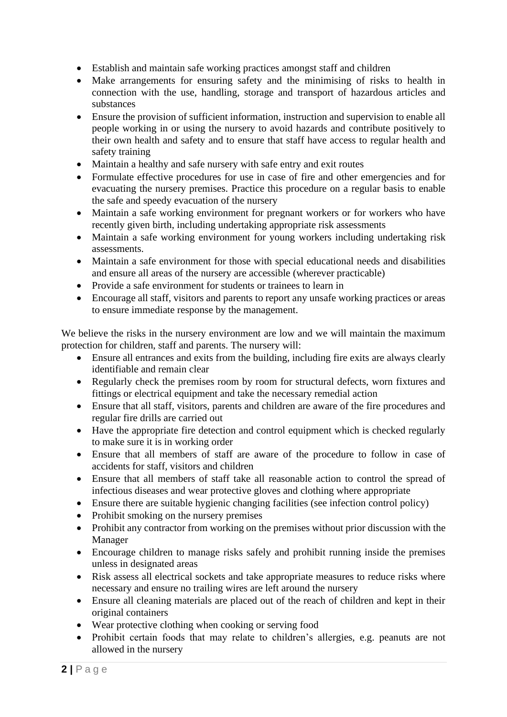- Establish and maintain safe working practices amongst staff and children
- Make arrangements for ensuring safety and the minimising of risks to health in connection with the use, handling, storage and transport of hazardous articles and substances
- Ensure the provision of sufficient information, instruction and supervision to enable all people working in or using the nursery to avoid hazards and contribute positively to their own health and safety and to ensure that staff have access to regular health and safety training
- Maintain a healthy and safe nursery with safe entry and exit routes
- Formulate effective procedures for use in case of fire and other emergencies and for evacuating the nursery premises. Practice this procedure on a regular basis to enable the safe and speedy evacuation of the nursery
- Maintain a safe working environment for pregnant workers or for workers who have recently given birth, including undertaking appropriate risk assessments
- Maintain a safe working environment for young workers including undertaking risk assessments.
- Maintain a safe environment for those with special educational needs and disabilities and ensure all areas of the nursery are accessible (wherever practicable)
- Provide a safe environment for students or trainees to learn in
- Encourage all staff, visitors and parents to report any unsafe working practices or areas to ensure immediate response by the management.

We believe the risks in the nursery environment are low and we will maintain the maximum protection for children, staff and parents. The nursery will:

- Ensure all entrances and exits from the building, including fire exits are always clearly identifiable and remain clear
- Regularly check the premises room by room for structural defects, worn fixtures and fittings or electrical equipment and take the necessary remedial action
- Ensure that all staff, visitors, parents and children are aware of the fire procedures and regular fire drills are carried out
- Have the appropriate fire detection and control equipment which is checked regularly to make sure it is in working order
- Ensure that all members of staff are aware of the procedure to follow in case of accidents for staff, visitors and children
- Ensure that all members of staff take all reasonable action to control the spread of infectious diseases and wear protective gloves and clothing where appropriate
- Ensure there are suitable hygienic changing facilities (see infection control policy)
- Prohibit smoking on the nursery premises
- Prohibit any contractor from working on the premises without prior discussion with the Manager
- Encourage children to manage risks safely and prohibit running inside the premises unless in designated areas
- Risk assess all electrical sockets and take appropriate measures to reduce risks where necessary and ensure no trailing wires are left around the nursery
- Ensure all cleaning materials are placed out of the reach of children and kept in their original containers
- Wear protective clothing when cooking or serving food
- Prohibit certain foods that may relate to children's allergies, e.g. peanuts are not allowed in the nursery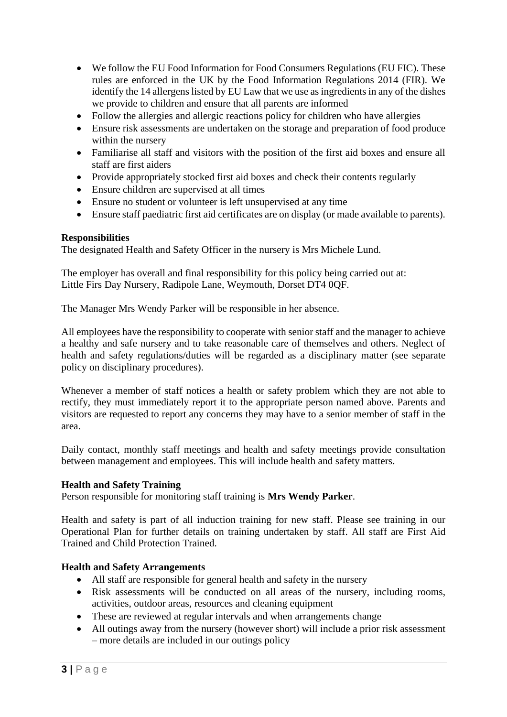- We follow the EU Food Information for Food Consumers Regulations (EU FIC). These rules are enforced in the UK by the Food Information Regulations 2014 (FIR). We identify the 14 allergens listed by EU Law that we use as ingredients in any of the dishes we provide to children and ensure that all parents are informed
- Follow the allergies and allergic reactions policy for children who have allergies
- Ensure risk assessments are undertaken on the storage and preparation of food produce within the nursery
- Familiarise all staff and visitors with the position of the first aid boxes and ensure all staff are first aiders
- Provide appropriately stocked first aid boxes and check their contents regularly
- Ensure children are supervised at all times
- Ensure no student or volunteer is left unsupervised at any time
- Ensure staff paediatric first aid certificates are on display (or made available to parents).

### **Responsibilities**

The designated Health and Safety Officer in the nursery is Mrs Michele Lund.

The employer has overall and final responsibility for this policy being carried out at: Little Firs Day Nursery, Radipole Lane, Weymouth, Dorset DT4 0QF.

The Manager Mrs Wendy Parker will be responsible in her absence.

All employees have the responsibility to cooperate with senior staff and the manager to achieve a healthy and safe nursery and to take reasonable care of themselves and others. Neglect of health and safety regulations/duties will be regarded as a disciplinary matter (see separate policy on disciplinary procedures).

Whenever a member of staff notices a health or safety problem which they are not able to rectify, they must immediately report it to the appropriate person named above. Parents and visitors are requested to report any concerns they may have to a senior member of staff in the area.

Daily contact, monthly staff meetings and health and safety meetings provide consultation between management and employees. This will include health and safety matters.

#### **Health and Safety Training**

Person responsible for monitoring staff training is **Mrs Wendy Parker**.

Health and safety is part of all induction training for new staff. Please see training in our Operational Plan for further details on training undertaken by staff. All staff are First Aid Trained and Child Protection Trained.

#### **Health and Safety Arrangements**

- All staff are responsible for general health and safety in the nursery
- Risk assessments will be conducted on all areas of the nursery, including rooms, activities, outdoor areas, resources and cleaning equipment
- These are reviewed at regular intervals and when arrangements change
- All outings away from the nursery (however short) will include a prior risk assessment – more details are included in our outings policy